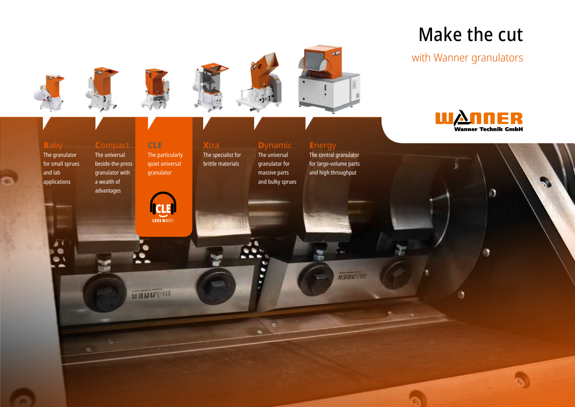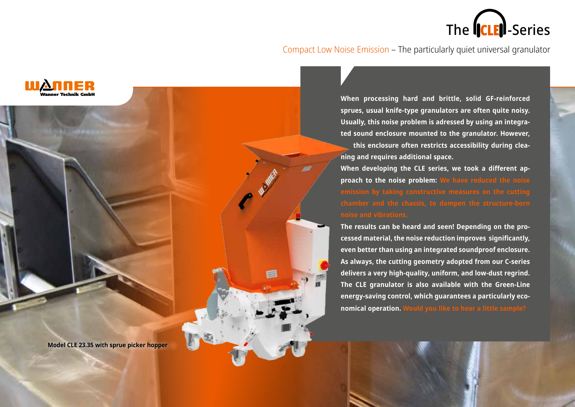

Compact Low Noise Emission – The particularly quiet universal granulator

**When processing hard and brittle, solid GF-reinforced sprues, usual knife-type granulators are often quite noisy. Usually, this noise problem is adressed by using an integrated sound enclosure mounted to the granulator. However, this enclosure often restricts accessibility during cleaning and requires additional space.** 

**When developing the CLE series, we took a different approach to the noise problem: We have reduced the noise** 

**The results can be heard and seen! Depending on the processed material, the noise reduction improves significantly, even better than using an integrated soundproof enclosure. As always, the cutting geometry adopted from our C-series delivers a very high-quality, uniform, and low-dust regrind. The CLE granulator is also available with the Green-Line energy-saving control, which guarantees a particularly economical operation. Would you like to hear a little sample?**

**Model CLE 23.35 with sprue picker hopper**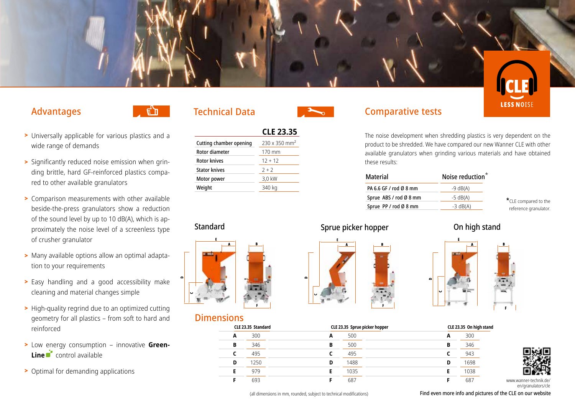

### Advantages



- > Universally applicable for various plastics and a wide range of demands
- > Significantly reduced noise emission when grinding brittle, hard GF-reinforced plastics compared to other available granulators
- > Comparison measurements with other available beside-the-press granulators show a reduction of the sound level by up to 10 dB(A), which is approximately the noise level of a screenless type of crusher granulator
- > Many available options allow an optimal adaptation to your requirements
- > Easy handling and a good accessibility make cleaning and material changes simple
- > High-quality regrind due to an optimized cutting geometry for all plastics – from soft to hard and reinforced
- > Low energy consumption innovative **Green-Line** control available
- > Optimal for demanding applications

### Technical Data

|                                | <b>CLE 23.35</b>                 |
|--------------------------------|----------------------------------|
| <b>Cutting chamber opening</b> | $230 \times 350$ mm <sup>2</sup> |
| Rotor diameter                 | 170 mm                           |
| <b>Rotor knives</b>            | $12 + 12$                        |
| <b>Stator knives</b>           | $2 + 2$                          |
| Motor power                    | 3,0 kW                           |
| Weight                         | 340 kg                           |
|                                |                                  |



## Dimensions





www.wanner-technik.de/ en/granulators/cle

(all dimensions in mm, rounded, subject to technical modifications)

**F** 687

Find even more info and pictures of the CLE on our website

# Comparative tests

The noise development when shredding plastics is very dependent on the product to be shredded. We have compared our new Wanner CLE with other available granulators when grinding various materials and have obtained these results:

| <b>Material</b>        | Noise reduction <sup>*</sup> |
|------------------------|------------------------------|
| PA 6.6 GF / rod Ø 8 mm | $-9$ dB(A)                   |
| Sprue ABS / rod Ø 8 mm | $-5$ dB(A)                   |
| Sprue PP / rod Ø 8 mm  | $-3$ dB(A)                   |

 $*$  CLE compared to the reference granulator.

#### Standard Standard Sprue picker hopper on high stand